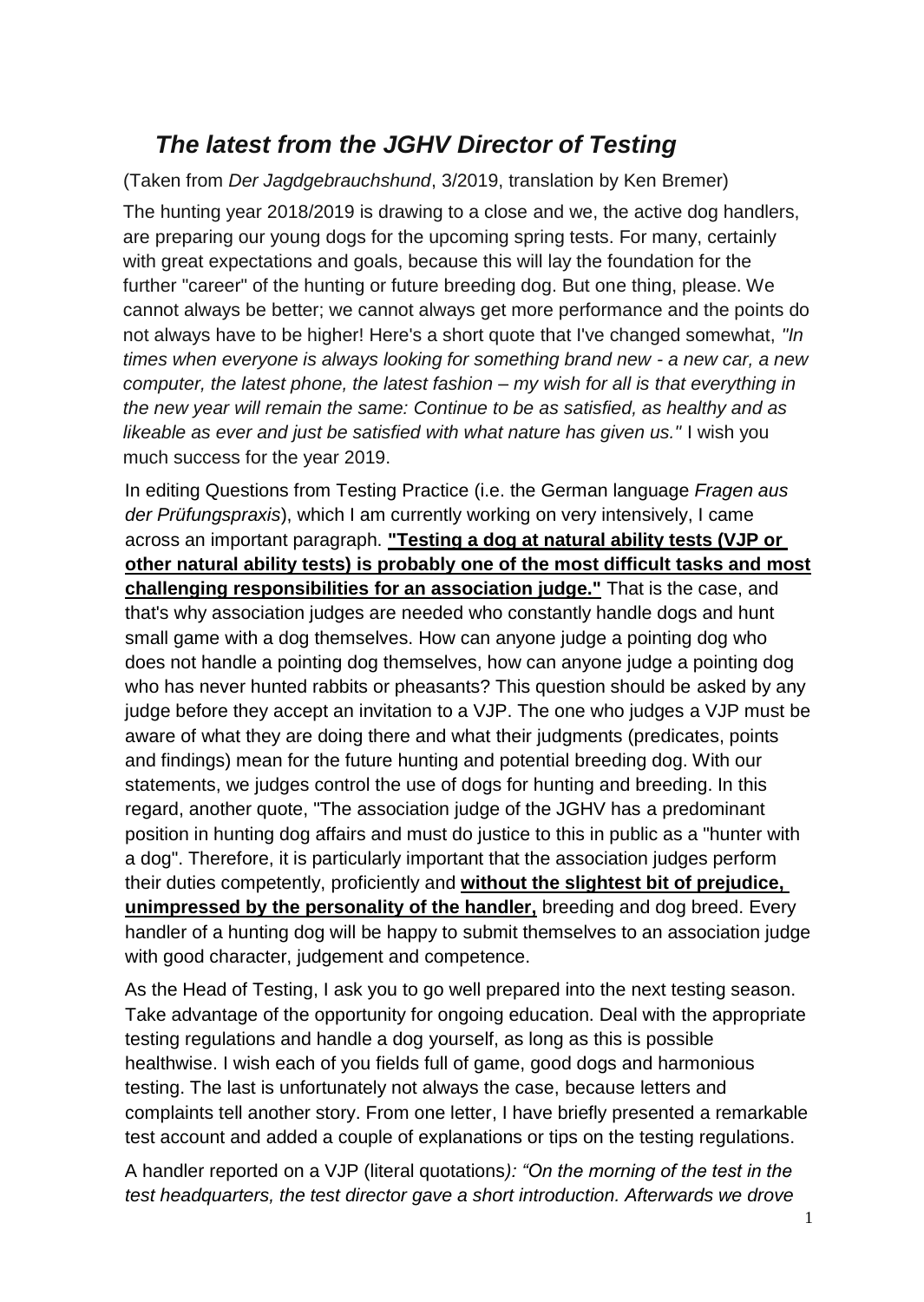## *The latest from the JGHV Director of Testing*

(Taken from *Der Jagdgebrauchshund*, 3/2019, translation by Ken Bremer)

The hunting year 2018/2019 is drawing to a close and we, the active dog handlers, are preparing our young dogs for the upcoming spring tests. For many, certainly with great expectations and goals, because this will lay the foundation for the further "career" of the hunting or future breeding dog. But one thing, please. We cannot always be better; we cannot always get more performance and the points do not always have to be higher! Here's a short quote that I've changed somewhat, *"In times when everyone is always looking for something brand new - a new car, a new computer, the latest phone, the latest fashion – my wish for all is that everything in the new year will remain the same: Continue to be as satisfied, as healthy and as likeable as ever and just be satisfied with what nature has given us."* I wish you much success for the year 2019.

In editing Questions from Testing Practice (i.e. the German language *Fragen aus der Prüfungspraxis*), which I am currently working on very intensively, I came across an important paragraph. **"Testing a dog at natural ability tests (VJP or other natural ability tests) is probably one of the most difficult tasks and most challenging responsibilities for an association judge."** That is the case, and that's why association judges are needed who constantly handle dogs and hunt small game with a dog themselves. How can anyone judge a pointing dog who does not handle a pointing dog themselves, how can anyone judge a pointing dog who has never hunted rabbits or pheasants? This question should be asked by any judge before they accept an invitation to a VJP. The one who judges a VJP must be aware of what they are doing there and what their judgments (predicates, points and findings) mean for the future hunting and potential breeding dog. With our statements, we judges control the use of dogs for hunting and breeding. In this regard, another quote, "The association judge of the JGHV has a predominant position in hunting dog affairs and must do justice to this in public as a "hunter with a dog". Therefore, it is particularly important that the association judges perform their duties competently, proficiently and **without the slightest bit of prejudice, unimpressed by the personality of the handler,** breeding and dog breed. Every handler of a hunting dog will be happy to submit themselves to an association judge with good character, judgement and competence.

As the Head of Testing, I ask you to go well prepared into the next testing season. Take advantage of the opportunity for ongoing education. Deal with the appropriate testing regulations and handle a dog yourself, as long as this is possible healthwise. I wish each of you fields full of game, good dogs and harmonious testing. The last is unfortunately not always the case, because letters and complaints tell another story. From one letter, I have briefly presented a remarkable test account and added a couple of explanations or tips on the testing regulations.

A handler reported on a VJP (literal quotations*): "On the morning of the test in the test headquarters, the test director gave a short introduction. Afterwards we drove*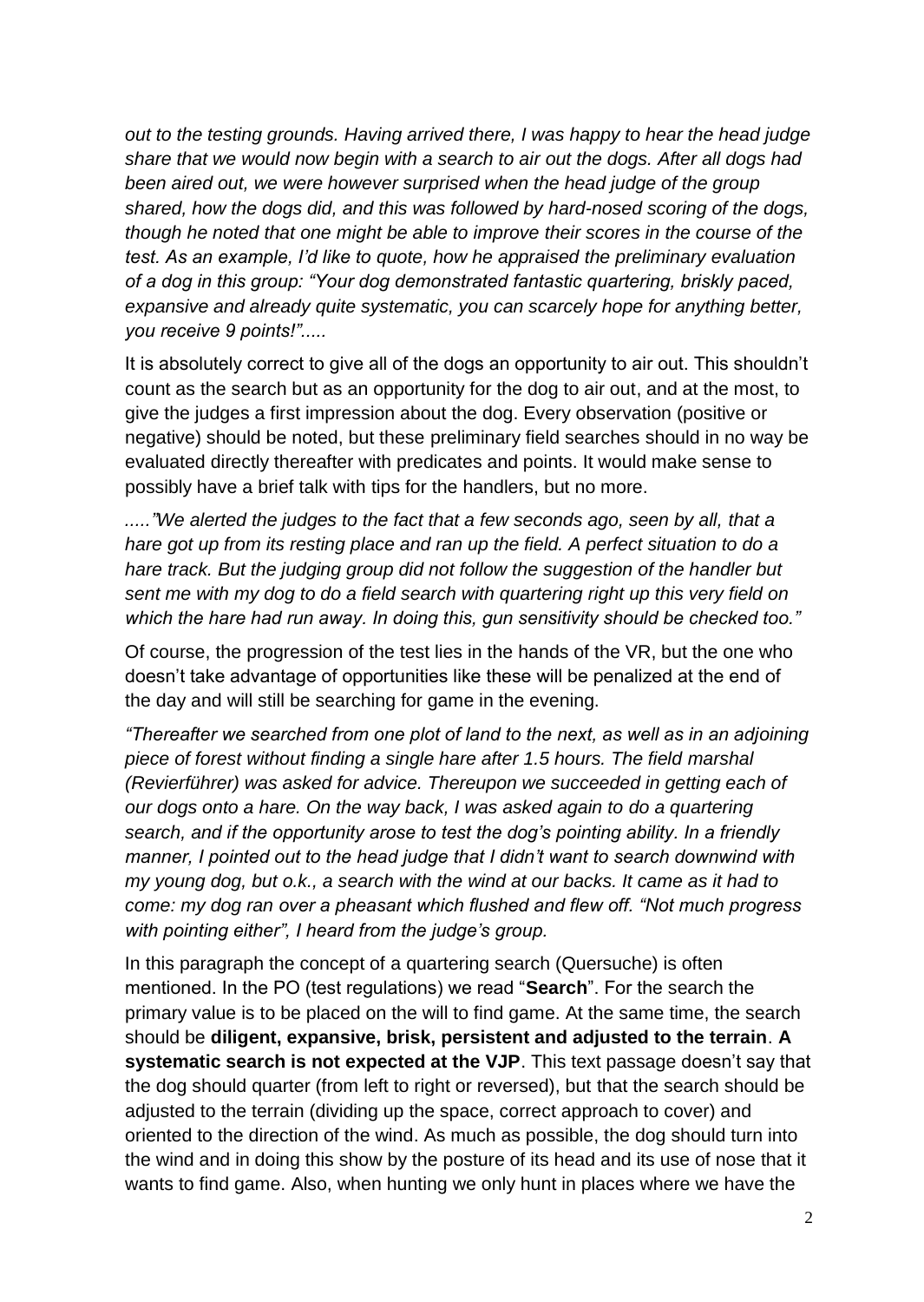*out to the testing grounds. Having arrived there, I was happy to hear the head judge share that we would now begin with a search to air out the dogs. After all dogs had been aired out, we were however surprised when the head judge of the group shared, how the dogs did, and this was followed by hard-nosed scoring of the dogs, though he noted that one might be able to improve their scores in the course of the test. As an example, I'd like to quote, how he appraised the preliminary evaluation of a dog in this group: "Your dog demonstrated fantastic quartering, briskly paced, expansive and already quite systematic, you can scarcely hope for anything better, you receive 9 points!".....*

It is absolutely correct to give all of the dogs an opportunity to air out. This shouldn't count as the search but as an opportunity for the dog to air out, and at the most, to give the judges a first impression about the dog. Every observation (positive or negative) should be noted, but these preliminary field searches should in no way be evaluated directly thereafter with predicates and points. It would make sense to possibly have a brief talk with tips for the handlers, but no more.

*....."We alerted the judges to the fact that a few seconds ago, seen by all, that a hare got up from its resting place and ran up the field. A perfect situation to do a hare track. But the judging group did not follow the suggestion of the handler but sent me with my dog to do a field search with quartering right up this very field on which the hare had run away. In doing this, gun sensitivity should be checked too."*

Of course, the progression of the test lies in the hands of the VR, but the one who doesn't take advantage of opportunities like these will be penalized at the end of the day and will still be searching for game in the evening.

*"Thereafter we searched from one plot of land to the next, as well as in an adjoining piece of forest without finding a single hare after 1.5 hours. The field marshal (Revierführer) was asked for advice. Thereupon we succeeded in getting each of our dogs onto a hare. On the way back, I was asked again to do a quartering search, and if the opportunity arose to test the dog's pointing ability. In a friendly manner, I pointed out to the head judge that I didn't want to search downwind with my young dog, but o.k., a search with the wind at our backs. It came as it had to come: my dog ran over a pheasant which flushed and flew off. "Not much progress with pointing either", I heard from the judge's group.*

In this paragraph the concept of a quartering search (Quersuche) is often mentioned. In the PO (test regulations) we read "**Search**". For the search the primary value is to be placed on the will to find game. At the same time, the search should be **diligent, expansive, brisk, persistent and adjusted to the terrain**. **A systematic search is not expected at the VJP**. This text passage doesn't say that the dog should quarter (from left to right or reversed), but that the search should be adjusted to the terrain (dividing up the space, correct approach to cover) and oriented to the direction of the wind. As much as possible, the dog should turn into the wind and in doing this show by the posture of its head and its use of nose that it wants to find game. Also, when hunting we only hunt in places where we have the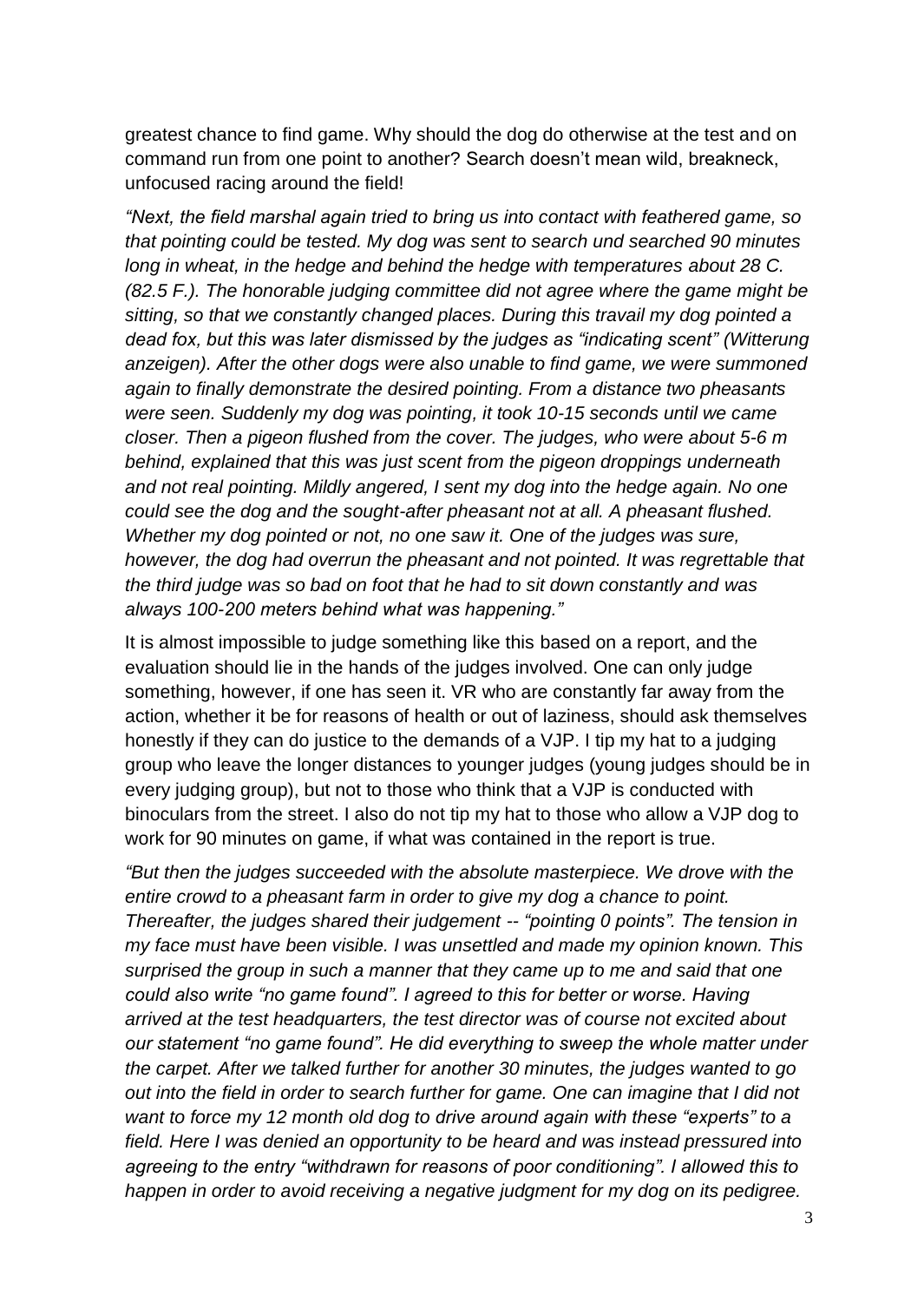greatest chance to find game. Why should the dog do otherwise at the test and on command run from one point to another? Search doesn't mean wild, breakneck, unfocused racing around the field!

*"Next, the field marshal again tried to bring us into contact with feathered game, so that pointing could be tested. My dog was sent to search und searched 90 minutes long in wheat, in the hedge and behind the hedge with temperatures about 28 C. (82.5 F.). The honorable judging committee did not agree where the game might be sitting, so that we constantly changed places. During this travail my dog pointed a dead fox, but this was later dismissed by the judges as "indicating scent" (Witterung anzeigen). After the other dogs were also unable to find game, we were summoned again to finally demonstrate the desired pointing. From a distance two pheasants were seen. Suddenly my dog was pointing, it took 10-15 seconds until we came closer. Then a pigeon flushed from the cover. The judges, who were about 5-6 m behind, explained that this was just scent from the pigeon droppings underneath and not real pointing. Mildly angered, I sent my dog into the hedge again. No one could see the dog and the sought-after pheasant not at all. A pheasant flushed. Whether my dog pointed or not, no one saw it. One of the judges was sure, however, the dog had overrun the pheasant and not pointed. It was regrettable that the third judge was so bad on foot that he had to sit down constantly and was always 100-200 meters behind what was happening."*

It is almost impossible to judge something like this based on a report, and the evaluation should lie in the hands of the judges involved. One can only judge something, however, if one has seen it. VR who are constantly far away from the action, whether it be for reasons of health or out of laziness, should ask themselves honestly if they can do justice to the demands of a VJP. I tip my hat to a judging group who leave the longer distances to younger judges (young judges should be in every judging group), but not to those who think that a VJP is conducted with binoculars from the street. I also do not tip my hat to those who allow a VJP dog to work for 90 minutes on game, if what was contained in the report is true.

*"But then the judges succeeded with the absolute masterpiece. We drove with the entire crowd to a pheasant farm in order to give my dog a chance to point. Thereafter, the judges shared their judgement -- "pointing 0 points". The tension in my face must have been visible. I was unsettled and made my opinion known. This surprised the group in such a manner that they came up to me and said that one could also write "no game found". I agreed to this for better or worse. Having arrived at the test headquarters, the test director was of course not excited about our statement "no game found". He did everything to sweep the whole matter under the carpet. After we talked further for another 30 minutes, the judges wanted to go out into the field in order to search further for game. One can imagine that I did not want to force my 12 month old dog to drive around again with these "experts" to a field. Here I was denied an opportunity to be heard and was instead pressured into agreeing to the entry "withdrawn for reasons of poor conditioning". I allowed this to happen in order to avoid receiving a negative judgment for my dog on its pedigree.*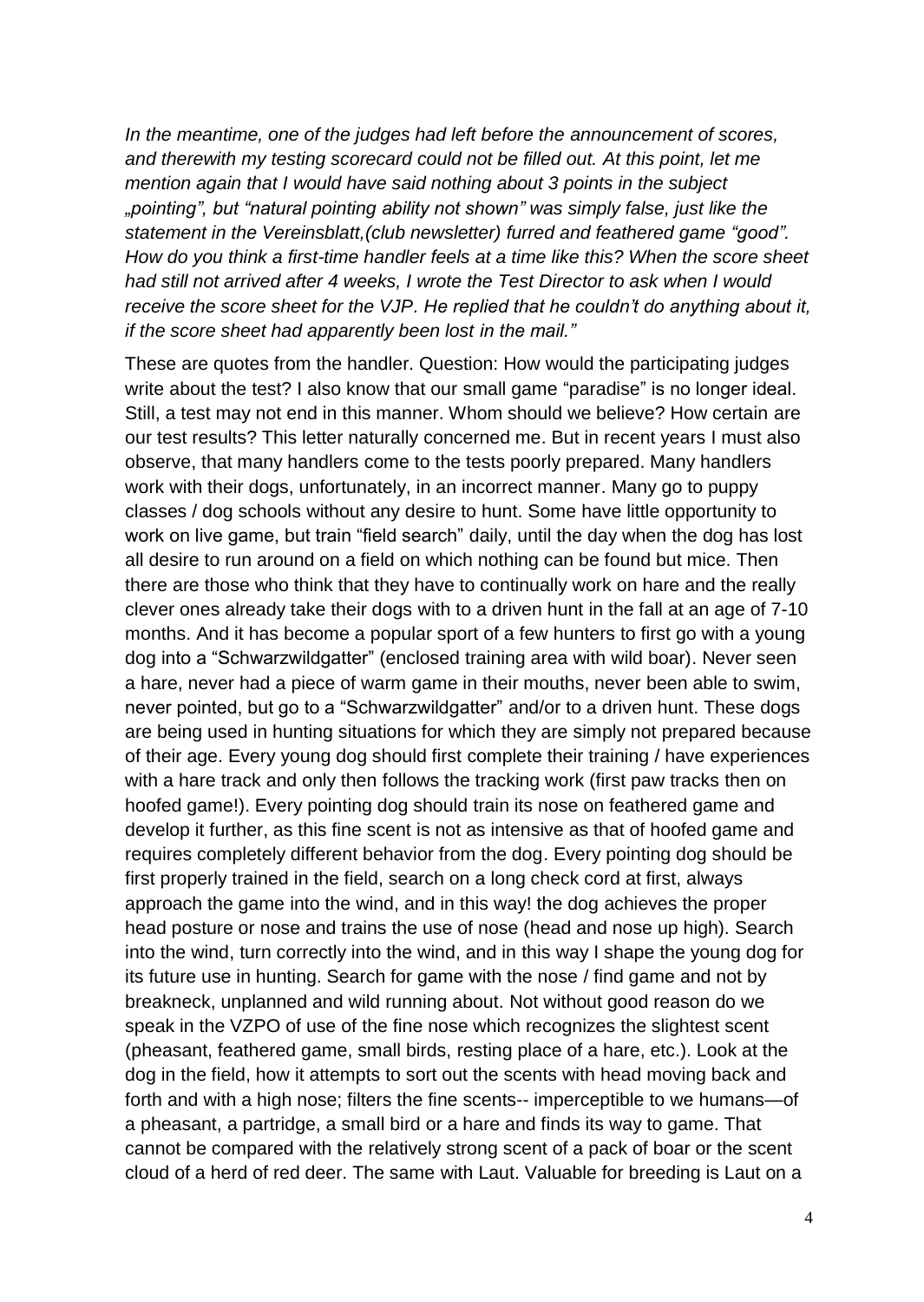*In the meantime, one of the judges had left before the announcement of scores, and therewith my testing scorecard could not be filled out. At this point, let me mention again that I would have said nothing about 3 points in the subject "pointing", but "natural pointing ability not shown" was simply false, just like the statement in the Vereinsblatt,(club newsletter) furred and feathered game "good". How do you think a first-time handler feels at a time like this? When the score sheet had still not arrived after 4 weeks, I wrote the Test Director to ask when I would receive the score sheet for the VJP. He replied that he couldn't do anything about it, if the score sheet had apparently been lost in the mail."*

These are quotes from the handler. Question: How would the participating judges write about the test? I also know that our small game "paradise" is no longer ideal. Still, a test may not end in this manner. Whom should we believe? How certain are our test results? This letter naturally concerned me. But in recent years I must also observe, that many handlers come to the tests poorly prepared. Many handlers work with their dogs, unfortunately, in an incorrect manner. Many go to puppy classes / dog schools without any desire to hunt. Some have little opportunity to work on live game, but train "field search" daily, until the day when the dog has lost all desire to run around on a field on which nothing can be found but mice. Then there are those who think that they have to continually work on hare and the really clever ones already take their dogs with to a driven hunt in the fall at an age of 7-10 months. And it has become a popular sport of a few hunters to first go with a young dog into a "Schwarzwildgatter" (enclosed training area with wild boar). Never seen a hare, never had a piece of warm game in their mouths, never been able to swim, never pointed, but go to a "Schwarzwildgatter" and/or to a driven hunt. These dogs are being used in hunting situations for which they are simply not prepared because of their age. Every young dog should first complete their training / have experiences with a hare track and only then follows the tracking work (first paw tracks then on hoofed game!). Every pointing dog should train its nose on feathered game and develop it further, as this fine scent is not as intensive as that of hoofed game and requires completely different behavior from the dog. Every pointing dog should be first properly trained in the field, search on a long check cord at first, always approach the game into the wind, and in this way! the dog achieves the proper head posture or nose and trains the use of nose (head and nose up high). Search into the wind, turn correctly into the wind, and in this way I shape the young dog for its future use in hunting. Search for game with the nose / find game and not by breakneck, unplanned and wild running about. Not without good reason do we speak in the VZPO of use of the fine nose which recognizes the slightest scent (pheasant, feathered game, small birds, resting place of a hare, etc.). Look at the dog in the field, how it attempts to sort out the scents with head moving back and forth and with a high nose; filters the fine scents-- imperceptible to we humans—of a pheasant, a partridge, a small bird or a hare and finds its way to game. That cannot be compared with the relatively strong scent of a pack of boar or the scent cloud of a herd of red deer. The same with Laut. Valuable for breeding is Laut on a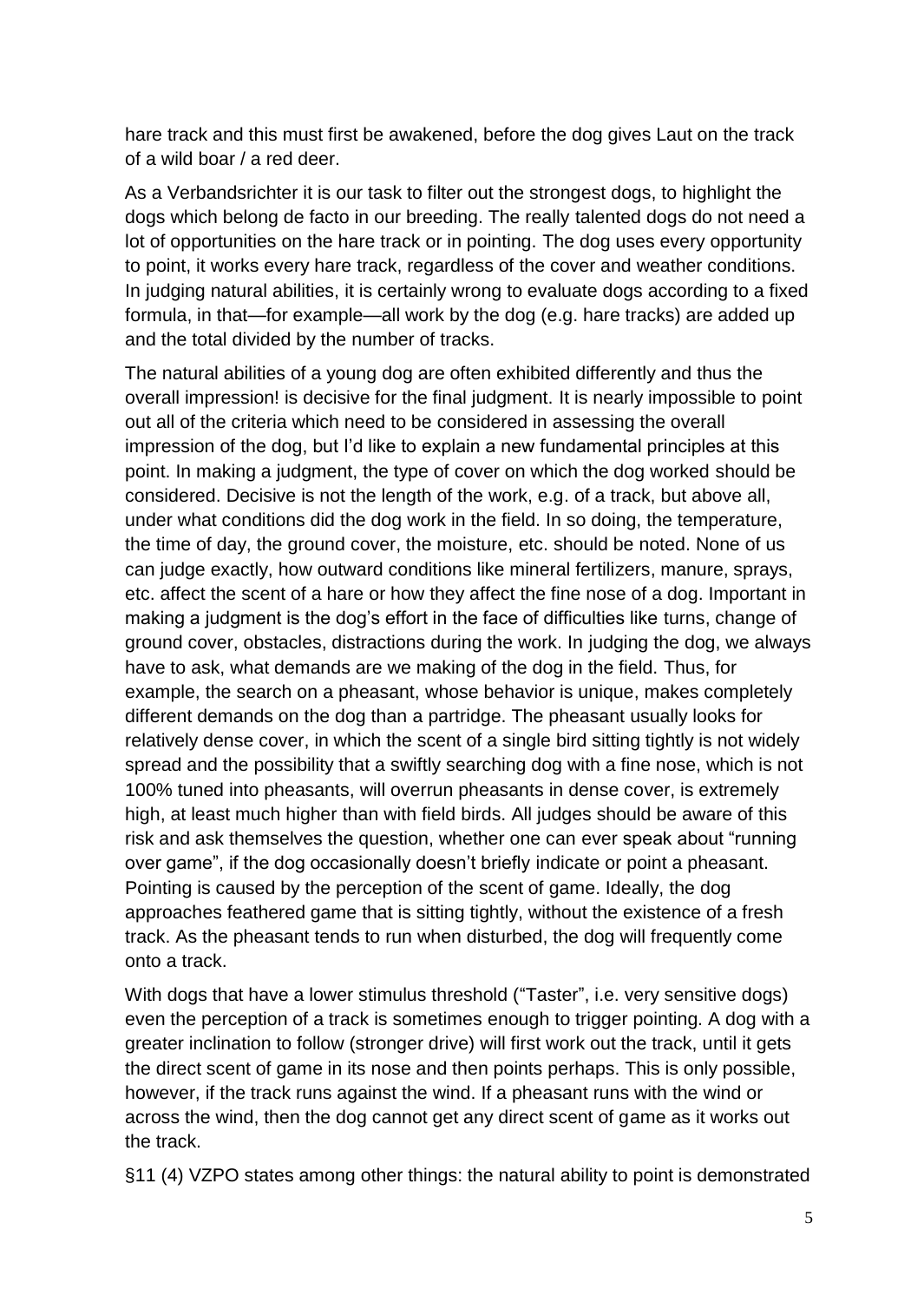hare track and this must first be awakened, before the dog gives Laut on the track of a wild boar / a red deer.

As a Verbandsrichter it is our task to filter out the strongest dogs, to highlight the dogs which belong de facto in our breeding. The really talented dogs do not need a lot of opportunities on the hare track or in pointing. The dog uses every opportunity to point, it works every hare track, regardless of the cover and weather conditions. In judging natural abilities, it is certainly wrong to evaluate dogs according to a fixed formula, in that—for example—all work by the dog (e.g. hare tracks) are added up and the total divided by the number of tracks.

The natural abilities of a young dog are often exhibited differently and thus the overall impression! is decisive for the final judgment. It is nearly impossible to point out all of the criteria which need to be considered in assessing the overall impression of the dog, but I'd like to explain a new fundamental principles at this point. In making a judgment, the type of cover on which the dog worked should be considered. Decisive is not the length of the work, e.g. of a track, but above all, under what conditions did the dog work in the field. In so doing, the temperature, the time of day, the ground cover, the moisture, etc. should be noted. None of us can judge exactly, how outward conditions like mineral fertilizers, manure, sprays, etc. affect the scent of a hare or how they affect the fine nose of a dog. Important in making a judgment is the dog's effort in the face of difficulties like turns, change of ground cover, obstacles, distractions during the work. In judging the dog, we always have to ask, what demands are we making of the dog in the field. Thus, for example, the search on a pheasant, whose behavior is unique, makes completely different demands on the dog than a partridge. The pheasant usually looks for relatively dense cover, in which the scent of a single bird sitting tightly is not widely spread and the possibility that a swiftly searching dog with a fine nose, which is not 100% tuned into pheasants, will overrun pheasants in dense cover, is extremely high, at least much higher than with field birds. All judges should be aware of this risk and ask themselves the question, whether one can ever speak about "running over game", if the dog occasionally doesn't briefly indicate or point a pheasant. Pointing is caused by the perception of the scent of game. Ideally, the dog approaches feathered game that is sitting tightly, without the existence of a fresh track. As the pheasant tends to run when disturbed, the dog will frequently come onto a track.

With dogs that have a lower stimulus threshold ("Taster", i.e. very sensitive dogs) even the perception of a track is sometimes enough to trigger pointing. A dog with a greater inclination to follow (stronger drive) will first work out the track, until it gets the direct scent of game in its nose and then points perhaps. This is only possible, however, if the track runs against the wind. If a pheasant runs with the wind or across the wind, then the dog cannot get any direct scent of game as it works out the track.

§11 (4) VZPO states among other things: the natural ability to point is demonstrated